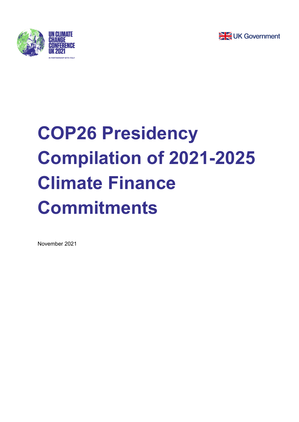



## **COP26 Presidency Compilation of 2021-2025 Climate Finance Commitments**

November 2021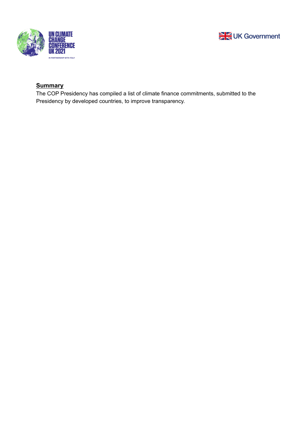



## **Summary**

The COP Presidency has compiled a list of climate finance commitments, submitted to the Presidency by developed countries, to improve transparency.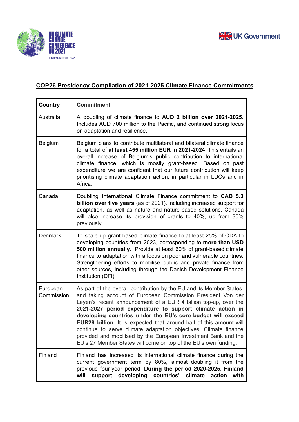



## **COP26 Presidency Compilation of 2021-2025 Climate Finance Commitments**

| Country                | <b>Commitment</b>                                                                                                                                                                                                                                                                                                                                                                                                                                                                                                                                                                                                        |
|------------------------|--------------------------------------------------------------------------------------------------------------------------------------------------------------------------------------------------------------------------------------------------------------------------------------------------------------------------------------------------------------------------------------------------------------------------------------------------------------------------------------------------------------------------------------------------------------------------------------------------------------------------|
| Australia              | A doubling of climate finance to AUD 2 billion over 2021-2025.<br>Includes AUD 700 million to the Pacific, and continued strong focus<br>on adaptation and resilience.                                                                                                                                                                                                                                                                                                                                                                                                                                                   |
| <b>Belgium</b>         | Belgium plans to contribute multilateral and bilateral climate finance<br>for a total of at least 455 million EUR in 2021-2024. This entails an<br>overall increase of Belgium's public contribution to international<br>climate finance, which is mostly grant-based. Based on past<br>expenditure we are confident that our future contribution will keep<br>prioritising climate adaptation action, in particular in LDCs and in<br>Africa.                                                                                                                                                                           |
| Canada                 | Doubling International Climate Finance commitment to CAD 5.3<br>billion over five years (as of 2021), including increased support for<br>adaptation, as well as nature and nature-based solutions. Canada<br>will also increase its provision of grants to 40%, up from 30%<br>previously.                                                                                                                                                                                                                                                                                                                               |
| <b>Denmark</b>         | To scale-up grant-based climate finance to at least 25% of ODA to<br>developing countries from 2023, corresponding to more than USD<br>500 million annually. Provide at least 60% of grant-based climate<br>finance to adaptation with a focus on poor and vulnerable countries.<br>Strengthening efforts to mobilise public and private finance from<br>other sources, including through the Danish Development Finance<br>Institution (DFI).                                                                                                                                                                           |
| European<br>Commission | As part of the overall contribution by the EU and its Member States,<br>and taking account of European Commission President Von der<br>Leyen's recent announcement of a EUR 4 billion top-up, over the<br>2021-2027 period expenditure to support climate action in<br>developing countries under the EU's core budget will exceed<br><b>EUR28 billion.</b> It is expected that around half of this amount will<br>continue to serve climate adaptation objectives. Climate finance<br>provided and mobilised by the European Investment Bank and the<br>EU's 27 Member States will come on top of the EU's own funding. |
| Finland                | Finland has increased its international climate finance during the<br>current government term by 80%, almost doubling it from the<br>previous four-year period. During the period 2020-2025, Finland<br>support developing<br>countries'<br>climate<br>will<br>action<br>with                                                                                                                                                                                                                                                                                                                                            |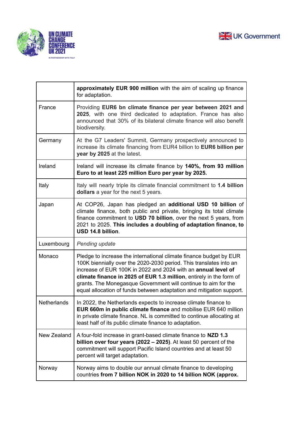



|             | approximately EUR 900 million with the aim of scaling up finance<br>for adaptation.                                                                                                                                                                                                                                                                                                                                        |
|-------------|----------------------------------------------------------------------------------------------------------------------------------------------------------------------------------------------------------------------------------------------------------------------------------------------------------------------------------------------------------------------------------------------------------------------------|
| France      | Providing EUR6 bn climate finance per year between 2021 and<br>2025, with one third dedicated to adaptation. France has also<br>announced that 30% of its bilateral climate finance will also benefit<br>biodiversity.                                                                                                                                                                                                     |
| Germany     | At the G7 Leaders' Summit, Germany prospectively announced to<br>increase its climate financing from EUR4 billion to EUR6 billion per<br>year by 2025 at the latest.                                                                                                                                                                                                                                                       |
| Ireland     | Ireland will increase its climate finance by 140%, from 93 million<br>Euro to at least 225 million Euro per year by 2025.                                                                                                                                                                                                                                                                                                  |
| Italy       | Italy will nearly triple its climate financial commitment to 1.4 billion<br>dollars a year for the next 5 years.                                                                                                                                                                                                                                                                                                           |
| Japan       | At COP26, Japan has pledged an additional USD 10 billion of<br>climate finance, both public and private, bringing its total climate<br>finance commitment to USD 70 billion, over the next 5 years, from<br>2021 to 2025. This includes a doubling of adaptation finance, to<br>USD 14.8 billion.                                                                                                                          |
| Luxembourg  | Pending update                                                                                                                                                                                                                                                                                                                                                                                                             |
| Monaco      | Pledge to increase the international climate finance budget by EUR<br>100K biennially over the 2020-2030 period. This translates into an<br>increase of EUR 100K in 2022 and 2024 with an annual level of<br>climate finance in 2025 of EUR 1.3 million, entirely in the form of<br>grants. The Monegasque Government will continue to aim for the<br>equal allocation of funds between adaptation and mitigation support. |
| Netherlands | In 2022, the Netherlands expects to increase climate finance to<br>EUR 660m in public climate finance and mobilise EUR 640 million<br>in private climate finance. NL is committed to continue allocating at<br>least half of its public climate finance to adaptation.                                                                                                                                                     |
| New Zealand | A four-fold increase in grant-based climate finance to NZD 1.3<br>billion over four years $(2022 - 2025)$ . At least 50 percent of the<br>commitment will support Pacific Island countries and at least 50<br>percent will target adaptation.                                                                                                                                                                              |
| Norway      | Norway aims to double our annual climate finance to developing<br>countries from 7 billion NOK in 2020 to 14 billion NOK (approx.                                                                                                                                                                                                                                                                                          |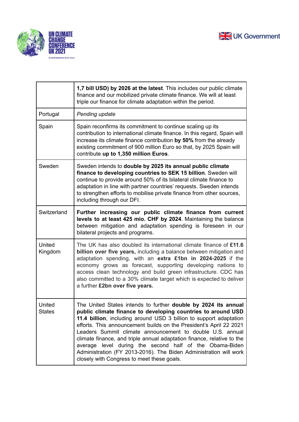



|                         | 1,7 bill USD) by 2026 at the latest. This includes our public climate<br>finance and our mobilized private climate finance. We will at least<br>triple our finance for climate adaptation within the period.                                                                                                                                                                                                                                                                                                                                                                                    |
|-------------------------|-------------------------------------------------------------------------------------------------------------------------------------------------------------------------------------------------------------------------------------------------------------------------------------------------------------------------------------------------------------------------------------------------------------------------------------------------------------------------------------------------------------------------------------------------------------------------------------------------|
| Portugal                | Pending update                                                                                                                                                                                                                                                                                                                                                                                                                                                                                                                                                                                  |
| Spain                   | Spain reconfirms its commitment to continue scaling up its<br>contribution to international climate finance. In this regard, Spain will<br>increase its climate finance contribution by 50% from the already<br>existing commitment of 900 million Euro so that, by 2025 Spain will<br>contribute up to 1,350 million Euros.                                                                                                                                                                                                                                                                    |
| Sweden                  | Sweden intends to double by 2025 its annual public climate<br>finance to developing countries to SEK 15 billion. Sweden will<br>continue to provide around 50% of its bilateral climate finance to<br>adaptation in line with partner countries' requests. Sweden intends<br>to strengthen efforts to mobilise private finance from other sources,<br>including through our DFI.                                                                                                                                                                                                                |
| Switzerland             | Further increasing our public climate finance from current<br>levels to at least 425 mio. CHF by 2024. Maintaining the balance<br>between mitigation and adaptation spending is foreseen in our<br>bilateral projects and programs.                                                                                                                                                                                                                                                                                                                                                             |
| United<br>Kingdom       | The UK has also doubled its international climate finance of £11.6<br>billion over five years, including a balance between mitigation and<br>adaptation spending, with an extra £1bn in 2024-2025 if the<br>economy grows as forecast, supporting developing nations to<br>access clean technology and build green infrastructure. CDC has<br>also committed to a 30% climate target which is expected to deliver<br>a further £2bn over five years.                                                                                                                                            |
| United<br><b>States</b> | The United States intends to further double by 2024 its annual<br>public climate finance to developing countries to around USD<br>11.4 billion, including around USD 3 billion to support adaptation<br>efforts. This announcement builds on the President's April 22 2021<br>Leaders Summit climate announcement to double U.S. annual<br>climate finance, and triple annual adaptation finance, relative to the<br>average level during the second half of the Obama-Biden<br>Administration (FY 2013-2016). The Biden Administration will work<br>closely with Congress to meet these goals. |